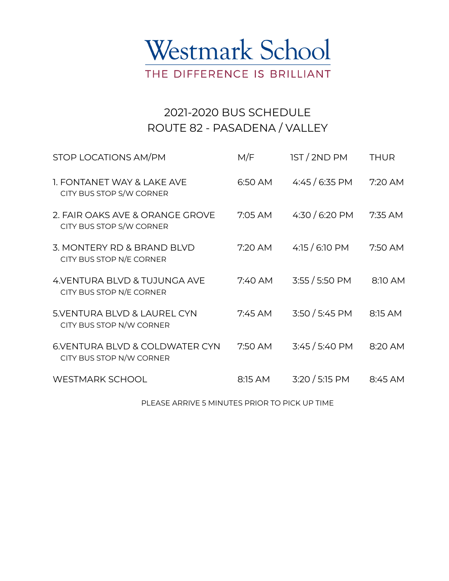

## 2021-2020 BUS SCHEDULE ROUTE 82 - PASADENA / VALLEY

| STOP LOCATIONS AM/PM                                        | M/F       | 1ST/2NDPM              | <b>THUR</b> |
|-------------------------------------------------------------|-----------|------------------------|-------------|
| 1. FONTANET WAY & LAKE AVE<br>CITY BUS STOP S/W CORNER      | 6:50 AM   | 4:45 / 6:35 PM         | 7:20 AM     |
| 2. FAIR OAKS AVE & ORANGE GROVE<br>CITY BUS STOP S/W CORNER | 7:05 AM   | 4:30 / 6:20 PM         | 7:35 AM     |
| 3. MONTERY RD & BRAND BLVD<br>CITY BUS STOP N/E CORNER      | 7:20 AM   | 4:15 / 6:10 PM         | 7:50 AM     |
| 4. VENTURA BLVD & TUJUNGA AVE<br>CITY BUS STOP N/E CORNER   | 7:40 AM   | $3:55 / 5:50$ PM       | 8:10 AM     |
| 5. VENTURA BLVD & LAUREL CYN<br>CITY BUS STOP N/W CORNER    | $7:45$ AM | 3:50/5:45 PM           | 8:15 AM     |
| 6.VENTURA BLVD & COLDWATER CYN<br>CITY BUS STOP N/W CORNER  | 7:50 AM   | $3:45/5:40 \text{ PM}$ | 8:20 AM     |
| <b>WESTMARK SCHOOL</b>                                      | 8:15 AM   | $3:20/5:15$ PM         | 8:45 AM     |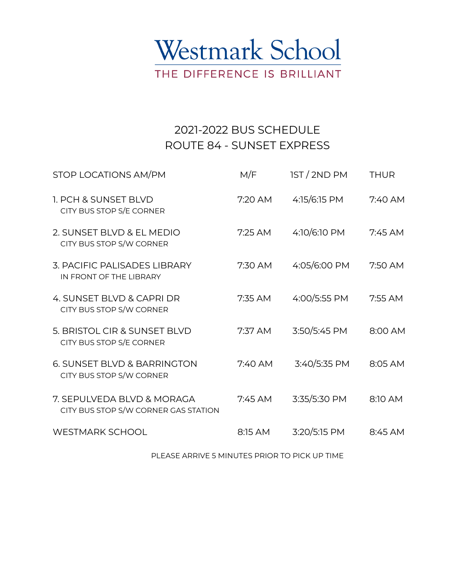

## 2021-2022 BUS SCHEDULE ROUTE 84 - SUNSET EXPRESS

| STOP LOCATIONS AM/PM                                               | M/F       | <b>IST/2ND PM</b> | <b>THUR</b> |
|--------------------------------------------------------------------|-----------|-------------------|-------------|
| 1. PCH & SUNSET BLVD<br>CITY BUS STOP S/E CORNER                   | 7:20 AM   | 4:15/6:15 PM      | $7:40$ AM   |
| 2. SUNSET BLVD & EL MEDIO<br>CITY BUS STOP S/W CORNER              | $7:25$ AM | 4:10/6:10 PM      | 7:45 AM     |
| 3. PACIFIC PALISADES LIBRARY<br>IN FRONT OF THE LIBRARY            | 7:30 AM   | 4:05/6:00 PM      | 7:50 AM     |
| 4. SUNSET BLVD & CAPRI DR<br>CITY BUS STOP S/W CORNER              | 7:35 AM   | 4:00/5:55 PM      | 7:55 AM     |
| 5. BRISTOL CIR & SUNSET BLVD<br>CITY BUS STOP S/E CORNER           | 7:37 AM   | 3:50/5:45 PM      | 8:00 AM     |
| 6. SUNSET BLVD & BARRINGTON<br>CITY BUS STOP S/W CORNER            | $7:40$ AM | 3:40/5:35 PM      | 8:05 AM     |
| 7. SEPULVEDA BLVD & MORAGA<br>CITY BUS STOP S/W CORNER GAS STATION | $7:45$ AM | 3:35/5:30 PM      | 8:10 AM     |
| <b>WESTMARK SCHOOL</b>                                             | 8:15 AM   | 3:20/5:15 PM      | 8:45 AM     |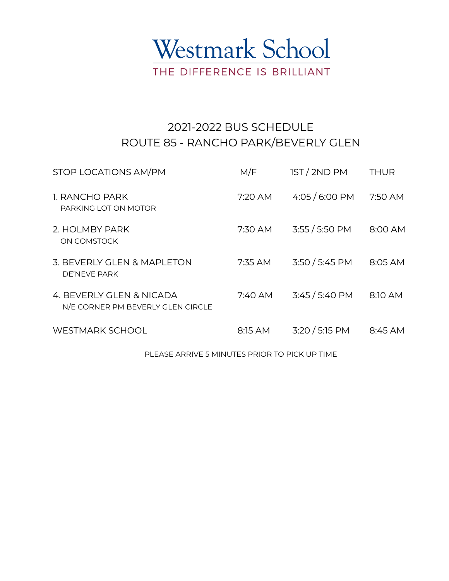

## 2021-2022 BUS SCHEDULE ROUTE 85 - RANCHO PARK/BEVERLY GLEN

| STOP LOCATIONS AM/PM                                          | M/F       | <b>IST/2ND PM</b>      | <b>THUR</b> |
|---------------------------------------------------------------|-----------|------------------------|-------------|
| 1. RANCHO PARK<br>PARKING LOT ON MOTOR                        | $7:20$ AM | 4:05 / 6:00 PM         | 7:50 AM     |
| 2. HOLMBY PARK<br>ON COMSTOCK                                 | 7:30 AM   | $3:55 / 5:50$ PM       | 8:00 AM     |
| 3. BEVERLY GLEN & MAPLETON<br>DE'NEVE PARK                    | $7:35$ AM | $3:50 / 5:45$ PM       | 8:05 AM     |
| 4. BEVERLY GLEN & NICADA<br>N/E CORNER PM BEVERLY GLEN CIRCLE | 7:40 AM   | $3:45/5:40 \text{ PM}$ | 8:10 AM     |
| <b>WESTMARK SCHOOL</b>                                        | 8:15 AM   | 3:20 / 5:15 PM         | 8:45 AM     |